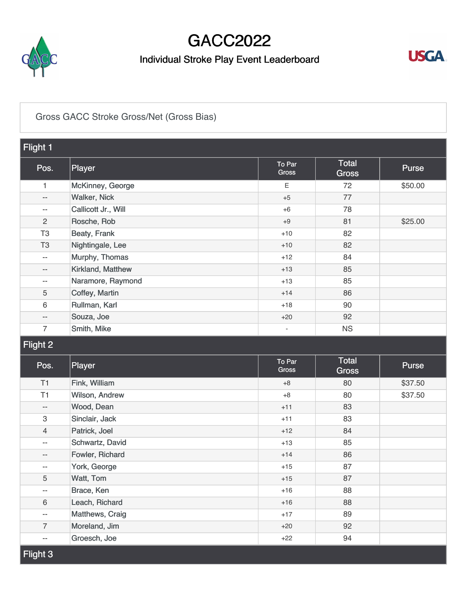

## GACC2022

## Individual Stroke Play Event Leaderboard



#### [Gross GACC Stroke Gross/Net \(Gross Bias\)](https://static.golfgenius.com/v2tournaments/8346616564442771705?called_from=&round_index=3)

| Flight 1                  |                     |                          |                              |              |  |  |
|---------------------------|---------------------|--------------------------|------------------------------|--------------|--|--|
| Pos.                      | Player              | To Par<br>Gross          | <b>Total</b><br><b>Gross</b> | Purse        |  |  |
| $\mathbf{1}$              | McKinney, George    | E                        | 72                           | \$50.00      |  |  |
| $- -$                     | <b>Walker, Nick</b> | $+5$                     | 77                           |              |  |  |
| $\sim$ $-$                | Callicott Jr., Will | $+6$                     | 78                           |              |  |  |
| $\mathbf{2}$              | Rosche, Rob         | $+9$                     | 81                           | \$25.00      |  |  |
| T <sub>3</sub>            | Beaty, Frank        | $+10$                    | 82                           |              |  |  |
| T <sub>3</sub>            | Nightingale, Lee    | $+10$                    | 82                           |              |  |  |
| $\overline{a}$            | Murphy, Thomas      | $+12$                    | 84                           |              |  |  |
| $-\,-$                    | Kirkland, Matthew   | $+13$                    | 85                           |              |  |  |
| $\overline{\phantom{m}}$  | Naramore, Raymond   | $+13$                    | 85                           |              |  |  |
| 5                         | Coffey, Martin      | $+14$                    | 86                           |              |  |  |
| 6                         | Rullman, Karl       | $+18$                    | 90                           |              |  |  |
| $\qquad \qquad -$         | Souza, Joe          | $+20$                    | 92                           |              |  |  |
| $\overline{7}$            | Smith, Mike         | $\overline{\phantom{a}}$ | <b>NS</b>                    |              |  |  |
| Flight 2                  |                     |                          |                              |              |  |  |
| Pos.                      | Player              | To Par<br>Gross          | <b>Total</b><br><b>Gross</b> | <b>Purse</b> |  |  |
| T1                        | Fink, William       | $+8$                     | 80                           | \$37.50      |  |  |
| T1                        | Wilson, Andrew      | $+8$                     | 80                           | \$37.50      |  |  |
| $\overline{\phantom{a}}$  | Wood, Dean          | $+11$                    | 83                           |              |  |  |
| $\ensuremath{\mathsf{3}}$ | Sinclair, Jack      | $+11$                    | 83                           |              |  |  |
| $\overline{4}$            | Patrick, Joel       | $+12$                    | 84                           |              |  |  |
| $\sim$                    | Schwartz, David     | $+13$                    | 85                           |              |  |  |
| $\qquad \qquad -$         | Fowler, Richard     | $+14$                    | 86                           |              |  |  |
| $-$                       | York, George        | $+15$                    | 87                           |              |  |  |

+15 +16 +16 +17 +20 +22

5 [Watt, Tom](https://static.golfgenius.com/tournaments2/details/8546054342669545710)-- [Brace, Ken](https://static.golfgenius.com/tournaments2/details/8546054342669545702)6 [Leach, Richard](https://static.golfgenius.com/tournaments2/details/8546054342703100149)-- [Matthews, Craig](https://static.golfgenius.com/tournaments2/details/8546054342703100145)7 [Moreland, Jim](https://static.golfgenius.com/tournaments2/details/8546054342770209040)-- [Groesch, Joe](https://static.golfgenius.com/tournaments2/details/8546054342669545711)